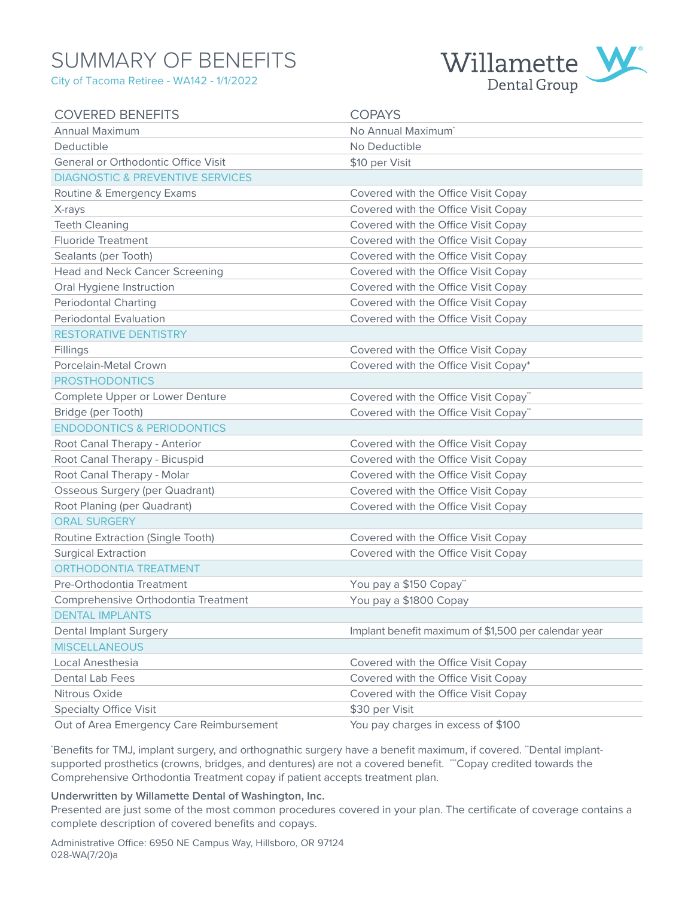# SUMMARY OF BENEFITS

City of Tacoma Retiree - WA142 - 1/1/2022



| <b>COVERED BENEFITS</b>                     | <b>COPAYS</b>                                        |
|---------------------------------------------|------------------------------------------------------|
| <b>Annual Maximum</b>                       | No Annual Maximum <sup>*</sup>                       |
| Deductible                                  | No Deductible                                        |
| General or Orthodontic Office Visit         | \$10 per Visit                                       |
| <b>DIAGNOSTIC &amp; PREVENTIVE SERVICES</b> |                                                      |
| Routine & Emergency Exams                   | Covered with the Office Visit Copay                  |
| X-rays                                      | Covered with the Office Visit Copay                  |
| <b>Teeth Cleaning</b>                       | Covered with the Office Visit Copay                  |
| <b>Fluoride Treatment</b>                   | Covered with the Office Visit Copay                  |
| Sealants (per Tooth)                        | Covered with the Office Visit Copay                  |
| <b>Head and Neck Cancer Screening</b>       | Covered with the Office Visit Copay                  |
| Oral Hygiene Instruction                    | Covered with the Office Visit Copay                  |
| <b>Periodontal Charting</b>                 | Covered with the Office Visit Copay                  |
| <b>Periodontal Evaluation</b>               | Covered with the Office Visit Copay                  |
| <b>RESTORATIVE DENTISTRY</b>                |                                                      |
| Fillings                                    | Covered with the Office Visit Copay                  |
| Porcelain-Metal Crown                       | Covered with the Office Visit Copay*                 |
| <b>PROSTHODONTICS</b>                       |                                                      |
| Complete Upper or Lower Denture             | Covered with the Office Visit Copay"                 |
| Bridge (per Tooth)                          | Covered with the Office Visit Copay**                |
| <b>ENDODONTICS &amp; PERIODONTICS</b>       |                                                      |
| Root Canal Therapy - Anterior               | Covered with the Office Visit Copay                  |
| Root Canal Therapy - Bicuspid               | Covered with the Office Visit Copay                  |
| Root Canal Therapy - Molar                  | Covered with the Office Visit Copay                  |
| <b>Osseous Surgery (per Quadrant)</b>       | Covered with the Office Visit Copay                  |
| Root Planing (per Quadrant)                 | Covered with the Office Visit Copay                  |
| <b>ORAL SURGERY</b>                         |                                                      |
| Routine Extraction (Single Tooth)           | Covered with the Office Visit Copay                  |
| <b>Surgical Extraction</b>                  | Covered with the Office Visit Copay                  |
| <b>ORTHODONTIA TREATMENT</b>                |                                                      |
| Pre-Orthodontia Treatment                   | You pay a \$150 Copay**                              |
| Comprehensive Orthodontia Treatment         | You pay a \$1800 Copay                               |
| <b>DENTAL IMPLANTS</b>                      |                                                      |
| <b>Dental Implant Surgery</b>               | Implant benefit maximum of \$1,500 per calendar year |
| <b>MISCELLANEOUS</b>                        |                                                      |
| Local Anesthesia                            | Covered with the Office Visit Copay                  |
| Dental Lab Fees                             | Covered with the Office Visit Copay                  |
| Nitrous Oxide                               | Covered with the Office Visit Copay                  |
| <b>Specialty Office Visit</b>               | \$30 per Visit                                       |
| Out of Area Emergency Care Reimbursement    | You pay charges in excess of \$100                   |

Benefits for TMJ, implant surgery, and orthognathic surgery have a benefit maximum, if covered. "Dental implantsupported prosthetics (crowns, bridges, and dentures) are not a covered benefit. ""Copay credited towards the Comprehensive Orthodontia Treatment copay if patient accepts treatment plan.

#### **Underwritten by Willamette Dental of Washington, Inc.**

Presented are just some of the most common procedures covered in your plan. The certificate of coverage contains a complete description of covered benefits and copays.

Administrative Office: 6950 NE Campus Way, Hillsboro, OR 97124 028-WA(7/20)a